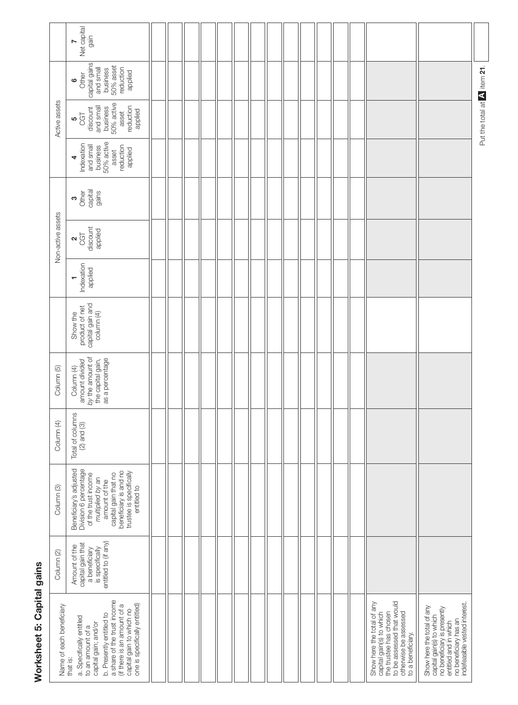| i<br>J |
|--------|
|        |
|        |
| t      |
| r      |
|        |

|                                                                                                                                                                                                                                                                      | Net capital<br>gain<br>$\triangleright$                                                                                                                                                                |  |  |  |  |  |  |                                                                                                                                                             |                                                                                                                                                                          |                             |
|----------------------------------------------------------------------------------------------------------------------------------------------------------------------------------------------------------------------------------------------------------------------|--------------------------------------------------------------------------------------------------------------------------------------------------------------------------------------------------------|--|--|--|--|--|--|-------------------------------------------------------------------------------------------------------------------------------------------------------------|--------------------------------------------------------------------------------------------------------------------------------------------------------------------------|-----------------------------|
| Active assets                                                                                                                                                                                                                                                        | capital gains<br>business<br>50% asset<br>reduction<br>applied<br>Other<br>ဖ                                                                                                                           |  |  |  |  |  |  |                                                                                                                                                             |                                                                                                                                                                          |                             |
|                                                                                                                                                                                                                                                                      | 50% active<br>and small<br>reduction<br>business<br>discount<br>applied<br>asset<br>$\frac{5}{6}$                                                                                                      |  |  |  |  |  |  |                                                                                                                                                             |                                                                                                                                                                          | Put the total at A item 21. |
|                                                                                                                                                                                                                                                                      | 50% active<br>Indexation<br>and small<br>business<br>reduction<br>applied<br>asset<br>4                                                                                                                |  |  |  |  |  |  |                                                                                                                                                             |                                                                                                                                                                          |                             |
| Non-active assets                                                                                                                                                                                                                                                    | capital<br>gains<br>Other<br>ო                                                                                                                                                                         |  |  |  |  |  |  |                                                                                                                                                             |                                                                                                                                                                          |                             |
|                                                                                                                                                                                                                                                                      | discount<br>applied<br>$\alpha_{\rm GT}$                                                                                                                                                               |  |  |  |  |  |  |                                                                                                                                                             |                                                                                                                                                                          |                             |
|                                                                                                                                                                                                                                                                      | Indexation<br>applied<br>T                                                                                                                                                                             |  |  |  |  |  |  |                                                                                                                                                             |                                                                                                                                                                          |                             |
|                                                                                                                                                                                                                                                                      | capital gain and<br>column (4)<br>product of net<br>Show the                                                                                                                                           |  |  |  |  |  |  |                                                                                                                                                             |                                                                                                                                                                          |                             |
| Column <sub>(5)</sub>                                                                                                                                                                                                                                                | by the amount of<br>the capital gain,<br>as a percentage<br>amount divided<br>Column (4)                                                                                                               |  |  |  |  |  |  |                                                                                                                                                             |                                                                                                                                                                          |                             |
| Column (4)                                                                                                                                                                                                                                                           | Total of columns<br>$(2)$ and $(3)$                                                                                                                                                                    |  |  |  |  |  |  |                                                                                                                                                             |                                                                                                                                                                          |                             |
| Column <sub>(3)</sub>                                                                                                                                                                                                                                                | Beneficiary's adjusted<br>Division 6 percentage<br>of the trust income<br>capital gain that no<br>beneficiary is and no<br>trustee is specifically<br>multiplied by an<br>amount of the<br>entitled to |  |  |  |  |  |  |                                                                                                                                                             |                                                                                                                                                                          |                             |
| Column (2)                                                                                                                                                                                                                                                           | entitled to (if any)<br>capital gain that<br>Amount of the<br>is specifically<br>a beneficiary                                                                                                         |  |  |  |  |  |  |                                                                                                                                                             |                                                                                                                                                                          |                             |
| a share of the trust income<br>one is specifically entitled)<br>(if there is an amount of a<br>Name of each beneficiary<br>capital gain to which no<br>b. Presently entitled to<br>a. Specifically entitled<br>capital gain; and/or<br>to an amount of a<br>that is: |                                                                                                                                                                                                        |  |  |  |  |  |  | to be assessed that would<br>Show here the total of any<br>capital gain(s) to which<br>the trustee has chosen<br>otherwise be assessed<br>to a beneficiary. | no beneficiary has an<br>indefeasible vested interest.<br>Show here the total of any<br>no beneficiary is presently<br>capital gain(s) to which<br>entitled and in which |                             |